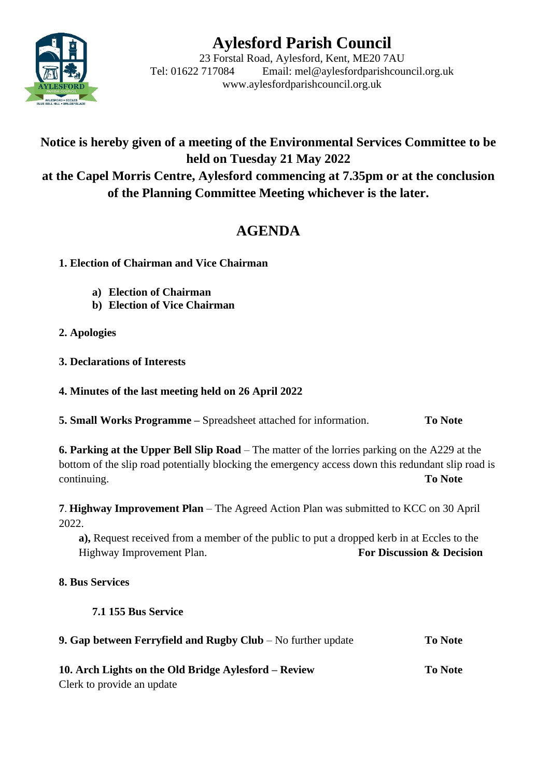# **Aylesford Parish Council**



23 Forstal Road, Aylesford, Kent, ME20 7AU Tel: 01622 717084 Email: mel@aylesfordparishcouncil.org.uk www.aylesfordparishcouncil.org.uk

## **Notice is hereby given of a meeting of the Environmental Services Committee to be held on Tuesday 21 May 2022 at the Capel Morris Centre, Aylesford commencing at 7.35pm or at the conclusion of the Planning Committee Meeting whichever is the later.**

# **AGENDA**

- **1. Election of Chairman and Vice Chairman**
	- **a) Election of Chairman**
	- **b) Election of Vice Chairman**
- **2. Apologies**
- **3. Declarations of Interests**
- **4. Minutes of the last meeting held on 26 April 2022**

**5. Small Works Programme –** Spreadsheet attached for information. **To Note**

**6. Parking at the Upper Bell Slip Road** – The matter of the lorries parking on the A229 at the bottom of the slip road potentially blocking the emergency access down this redundant slip road is continuing. **To Note**

**7**. **Highway Improvement Plan** – The Agreed Action Plan was submitted to KCC on 30 April 2022.

**a),** Request received from a member of the public to put a dropped kerb in at Eccles to the Highway Improvement Plan. **For Discussion & Decision** 

### **8. Bus Services**

### **7.1 155 Bus Service**

| 9. Gap between Ferryfield and Rugby Club $-$ No further update | <b>To Note</b> |
|----------------------------------------------------------------|----------------|
| 10. Arch Lights on the Old Bridge Aylesford – Review           | To Note        |

Clerk to provide an update